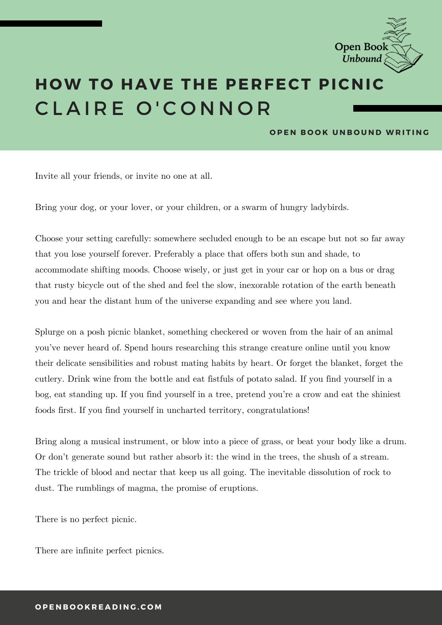

## **H OW T O HAVE THE PERFECT PICNIC** CLAIRE O'CONNOR

## **OPEN BOOK UNBOUND WRITING**

Invite all your friends, or invite no one at all.

Bring your dog, or your lover, or your children, or a swarm of hungry ladybirds.

Choose your setting carefully: somewhere secluded enough to be an escape but not so far away that you lose yourself forever. Preferably a place that offers both sun and shade, to accommodate shifting moods. Choose wisely, or just get in your car or hop on a bus or drag that rusty bicycle out of the shed and feel the slow, inexorable rotation of the earth beneath you and hear the distant hum of the universe expanding and see where you land.

Splurge on a posh picnic blanket, something checkered or woven from the hair of an animal you've never heard of. Spend hours researching this strange creature online until you know their delicate sensibilities and robust mating habits by heart. Or forget the blanket, forget the cutlery. Drink wine from the bottle and eat fistfuls of potato salad. If you find yourself in a bog, eat standing up. If you find yourself in a tree, pretend you're a crow and eat the shiniest foods first. If you find yourself in uncharted territory, congratulations!

Bring along a musical instrument, or blow into a piece of grass, or beat your body like a drum. Or don't generate sound but rather absorb it: the wind in the trees, the shush of a stream. The trickle of blood and nectar that keep us all going. The inevitable dissolution of rock to dust. The rumblings of magma, the promise of eruptions.

There is no perfect picnic.

There are infinite perfect picnics.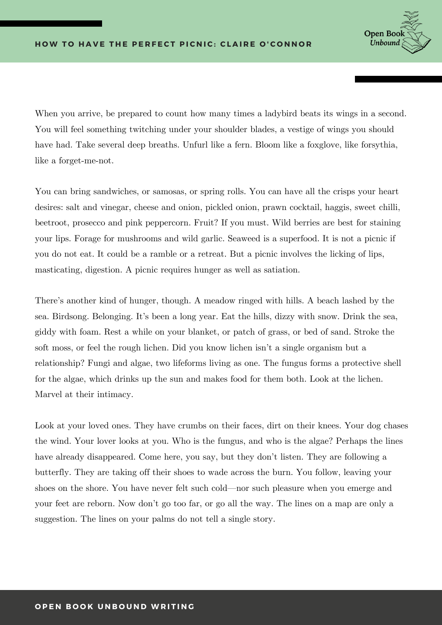

When you arrive, be prepared to count how many times a ladybird beats its wings in a second. You will feel something twitching under your shoulder blades, a vestige of wings you should have had. Take several deep breaths. Unfurl like a fern. Bloom like a foxglove, like forsythia, like a forget-me-not.

You can bring sandwiches, or samosas, or spring rolls. You can have all the crisps your heart desires: salt and vinegar, cheese and onion, pickled onion, prawn cocktail, haggis, sweet chilli, beetroot, prosecco and pink peppercorn. Fruit? If you must. Wild berries are best for staining your lips. Forage for mushrooms and wild garlic. Seaweed is a superfood. It is not a picnic if you do not eat. It could be a ramble or a retreat. But a picnic involves the licking of lips, masticating, digestion. A picnic requires hunger as well as satiation.

There's another kind of hunger, though. A meadow ringed with hills. A beach lashed by the sea. Birdsong. Belonging. It's been a long year. Eat the hills, dizzy with snow. Drink the sea, giddy with foam. Rest a while on your blanket, or patch of grass, or bed of sand. Stroke the soft moss, or feel the rough lichen. Did you know lichen isn't a single organism but a relationship? Fungi and algae, two lifeforms living as one. The fungus forms a protective shell for the algae, which drinks up the sun and makes food for them both. Look at the lichen. Marvel at their intimacy.

Look at your loved ones. They have crumbs on their faces, dirt on their knees. Your dog chases the wind. Your lover looks at you. Who is the fungus, and who is the algae? Perhaps the lines have already disappeared. Come here, you say, but they don't listen. They are following a butterfly. They are taking off their shoes to wade across the burn. You follow, leaving your shoes on the shore. You have never felt such cold—nor such pleasure when you emerge and your feet are reborn. Now don't go too far, or go all the way. The lines on a map are only a suggestion. The lines on your palms do not tell a single story.